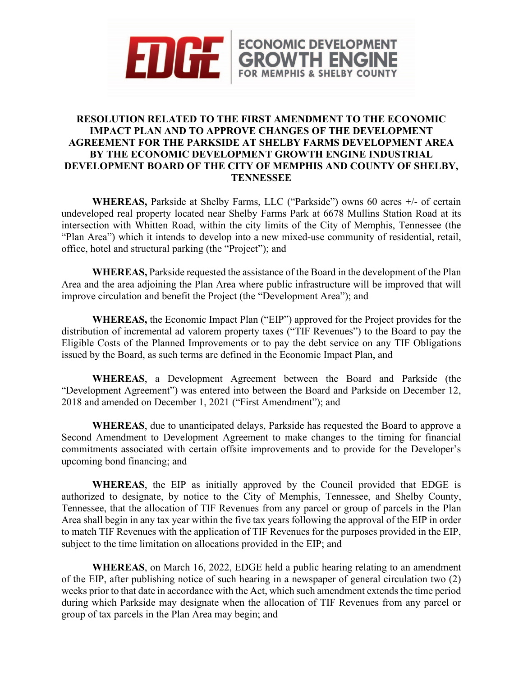

## **RESOLUTION RELATED TO THE FIRST AMENDMENT TO THE ECONOMIC IMPACT PLAN AND TO APPROVE CHANGES OF THE DEVELOPMENT AGREEMENT FOR THE PARKSIDE AT SHELBY FARMS DEVELOPMENT AREA BY THE ECONOMIC DEVELOPMENT GROWTH ENGINE INDUSTRIAL DEVELOPMENT BOARD OF THE CITY OF MEMPHIS AND COUNTY OF SHELBY, TENNESSEE**

**WHEREAS,** Parkside at Shelby Farms, LLC ("Parkside") owns 60 acres +/- of certain undeveloped real property located near Shelby Farms Park at 6678 Mullins Station Road at its intersection with Whitten Road, within the city limits of the City of Memphis, Tennessee (the "Plan Area") which it intends to develop into a new mixed-use community of residential, retail, office, hotel and structural parking (the "Project"); and

**WHEREAS,** Parkside requested the assistance of the Board in the development of the Plan Area and the area adjoining the Plan Area where public infrastructure will be improved that will improve circulation and benefit the Project (the "Development Area"); and

**WHEREAS,** the Economic Impact Plan ("EIP") approved for the Project provides for the distribution of incremental ad valorem property taxes ("TIF Revenues") to the Board to pay the Eligible Costs of the Planned Improvements or to pay the debt service on any TIF Obligations issued by the Board, as such terms are defined in the Economic Impact Plan, and

**WHEREAS**, a Development Agreement between the Board and Parkside (the "Development Agreement") was entered into between the Board and Parkside on December 12, 2018 and amended on December 1, 2021 ("First Amendment"); and

**WHEREAS**, due to unanticipated delays, Parkside has requested the Board to approve a Second Amendment to Development Agreement to make changes to the timing for financial commitments associated with certain offsite improvements and to provide for the Developer's upcoming bond financing; and

**WHEREAS**, the EIP as initially approved by the Council provided that EDGE is authorized to designate, by notice to the City of Memphis, Tennessee, and Shelby County, Tennessee, that the allocation of TIF Revenues from any parcel or group of parcels in the Plan Area shall begin in any tax year within the five tax years following the approval of the EIP in order to match TIF Revenues with the application of TIF Revenues for the purposes provided in the EIP, subject to the time limitation on allocations provided in the EIP; and

**WHEREAS**, on March 16, 2022, EDGE held a public hearing relating to an amendment of the EIP, after publishing notice of such hearing in a newspaper of general circulation two (2) weeks prior to that date in accordance with the Act, which such amendment extends the time period during which Parkside may designate when the allocation of TIF Revenues from any parcel or group of tax parcels in the Plan Area may begin; and